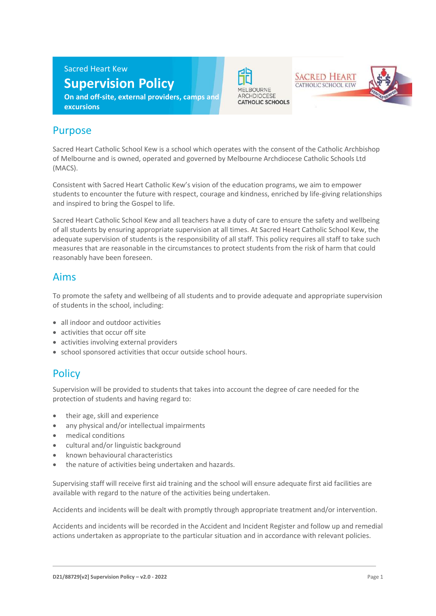Sacred Heart Kew

# **Supervision Policy**

**On and off-site, external providers, camps and excursions**



**SACRED HEART** CATHOLIC SCHOOL KEW



# Purpose

Sacred Heart Catholic School Kew is a school which operates with the consent of the Catholic Archbishop of Melbourne and is owned, operated and governed by Melbourne Archdiocese Catholic Schools Ltd (MACS).

Consistent with Sacred Heart Catholic Kew's vision of the education programs, we aim to empower students to encounter the future with respect, courage and kindness, enriched by life-giving relationships and inspired to bring the Gospel to life.

Sacred Heart Catholic School Kew and all teachers have a duty of care to ensure the safety and wellbeing of all students by ensuring appropriate supervision at all times. At Sacred Heart Catholic School Kew, the adequate supervision of students is the responsibility of all staff. This policy requires all staff to take such measures that are reasonable in the circumstances to protect students from the risk of harm that could reasonably have been foreseen.

#### Aims

To promote the safety and wellbeing of all students and to provide adequate and appropriate supervision of students in the school, including:

- all indoor and outdoor activities
- activities that occur off site
- activities involving external providers
- school sponsored activities that occur outside school hours.

# **Policy**

Supervision will be provided to students that takes into account the degree of care needed for the protection of students and having regard to:

- their age, skill and experience
- any physical and/or intellectual impairments
- medical conditions
- cultural and/or linguistic background
- known behavioural characteristics
- the nature of activities being undertaken and hazards.

Supervising staff will receive first aid training and the school will ensure adequate first aid facilities are available with regard to the nature of the activities being undertaken.

Accidents and incidents will be dealt with promptly through appropriate treatment and/or intervention.

Accidents and incidents will be recorded in the Accident and Incident Register and follow up and remedial actions undertaken as appropriate to the particular situation and in accordance with relevant policies.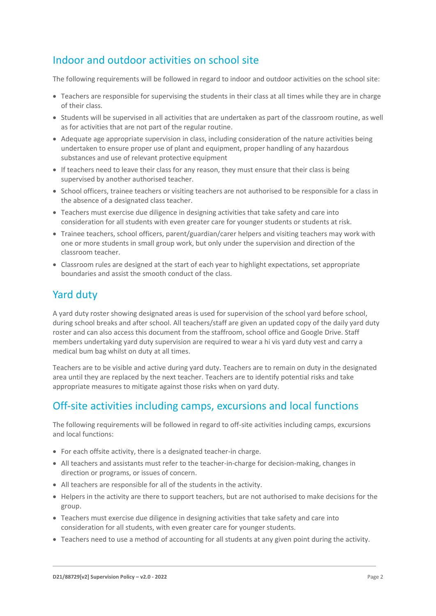# Indoor and outdoor activities on school site

The following requirements will be followed in regard to indoor and outdoor activities on the school site:

- Teachers are responsible for supervising the students in their class at all times while they are in charge of their class.
- Students will be supervised in all activities that are undertaken as part of the classroom routine, as well as for activities that are not part of the regular routine.
- Adequate age appropriate supervision in class, including consideration of the nature activities being undertaken to ensure proper use of plant and equipment, proper handling of any hazardous substances and use of relevant protective equipment
- If teachers need to leave their class for any reason, they must ensure that their class is being supervised by another authorised teacher.
- School officers, trainee teachers or visiting teachers are not authorised to be responsible for a class in the absence of a designated class teacher.
- Teachers must exercise due diligence in designing activities that take safety and care into consideration for all students with even greater care for younger students or students at risk.
- Trainee teachers, school officers, parent/guardian/carer helpers and visiting teachers may work with one or more students in small group work, but only under the supervision and direction of the classroom teacher.
- Classroom rules are designed at the start of each year to highlight expectations, set appropriate boundaries and assist the smooth conduct of the class.

#### Yard duty

A yard duty roster showing designated areas is used for supervision of the school yard before school, during school breaks and after school. All teachers/staff are given an updated copy of the daily yard duty roster and can also access this document from the staffroom, school office and Google Drive. Staff members undertaking yard duty supervision are required to wear a hi vis yard duty vest and carry a medical bum bag whilst on duty at all times.

Teachers are to be visible and active during yard duty. Teachers are to remain on duty in the designated area until they are replaced by the next teacher. Teachers are to identify potential risks and take appropriate measures to mitigate against those risks when on yard duty.

#### Off-site activities including camps, excursions and local functions

The following requirements will be followed in regard to off-site activities including camps, excursions and local functions:

- For each offsite activity, there is a designated teacher-in charge.
- All teachers and assistants must refer to the teacher-in-charge for decision-making, changes in direction or programs, or issues of concern.
- All teachers are responsible for all of the students in the activity.
- Helpers in the activity are there to support teachers, but are not authorised to make decisions for the group.
- Teachers must exercise due diligence in designing activities that take safety and care into consideration for all students, with even greater care for younger students.
- Teachers need to use a method of accounting for all students at any given point during the activity.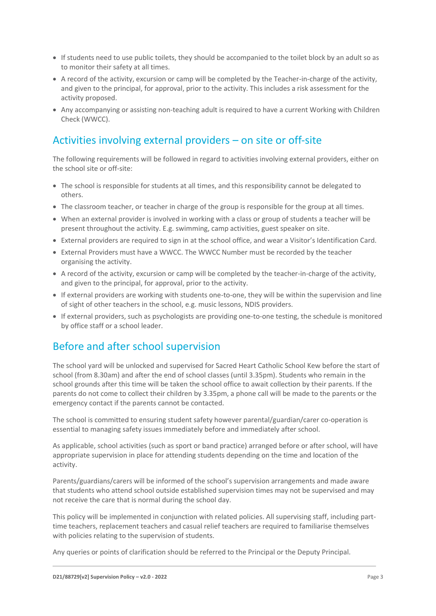- If students need to use public toilets, they should be accompanied to the toilet block by an adult so as to monitor their safety at all times.
- A record of the activity, excursion or camp will be completed by the Teacher-in-charge of the activity, and given to the principal, for approval, prior to the activity. This includes a risk assessment for the activity proposed.
- Any accompanying or assisting non-teaching adult is required to have a current Working with Children Check (WWCC).

# Activities involving external providers – on site or off-site

The following requirements will be followed in regard to activities involving external providers, either on the school site or off-site:

- The school is responsible for students at all times, and this responsibility cannot be delegated to others.
- The classroom teacher, or teacher in charge of the group is responsible for the group at all times.
- When an external provider is involved in working with a class or group of students a teacher will be present throughout the activity. E.g. swimming, camp activities, guest speaker on site.
- External providers are required to sign in at the school office, and wear a Visitor's Identification Card.
- External Providers must have a WWCC. The WWCC Number must be recorded by the teacher organising the activity.
- A record of the activity, excursion or camp will be completed by the teacher-in-charge of the activity, and given to the principal, for approval, prior to the activity.
- If external providers are working with students one-to-one, they will be within the supervision and line of sight of other teachers in the school, e.g. music lessons, NDIS providers.
- If external providers, such as psychologists are providing one-to-one testing, the schedule is monitored by office staff or a school leader.

# Before and after school supervision

The school yard will be unlocked and supervised for Sacred Heart Catholic School Kew before the start of school (from 8.30am) and after the end of school classes (until 3.35pm). Students who remain in the school grounds after this time will be taken the school office to await collection by their parents. If the parents do not come to collect their children by 3.35pm, a phone call will be made to the parents or the emergency contact if the parents cannot be contacted.

The school is committed to ensuring student safety however parental/guardian/carer co-operation is essential to managing safety issues immediately before and immediately after school.

As applicable, school activities (such as sport or band practice) arranged before or after school, will have appropriate supervision in place for attending students depending on the time and location of the activity.

Parents/guardians/carers will be informed of the school's supervision arrangements and made aware that students who attend school outside established supervision times may not be supervised and may not receive the care that is normal during the school day.

This policy will be implemented in conjunction with related policies. All supervising staff, including parttime teachers, replacement teachers and casual relief teachers are required to familiarise themselves with policies relating to the supervision of students.

Any queries or points of clarification should be referred to the Principal or the Deputy Principal.